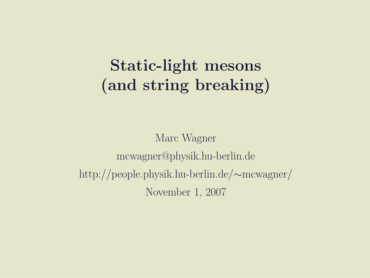#### Static-light mesons (and string breaking)

Marc Wagner mcwagner@physik.hu-berlin.de http://people.physik.hu-berlin.de/∼mcwagner/ November 1, 2007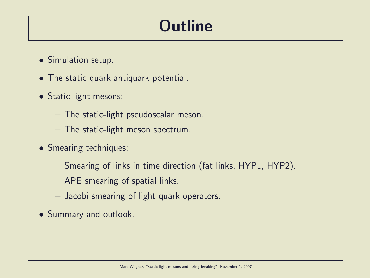### **Outline**

- Simulation setup.
- The static quark antiquark potential.
- Static-light mesons:
	- The static-light pseudoscalar meson.
	- The static-light meson spectrum.
- Smearing techniques:
	- Smearing of links in time direction (fat links, HYP1, HYP2).
	- APE smearing of spatial links.
	- Jacobi smearing of light quark operators.
- Summary and outlook.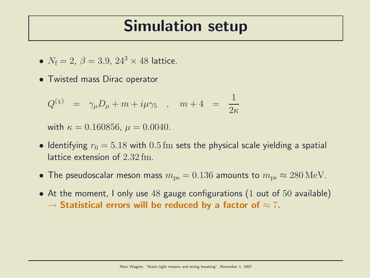#### Simulation setup

- $N_f = 2, \ \beta = 3.9, \ 24^3 \times 48$  lattice.
- Twisted mass Dirac operator

$$
Q^{(\chi)} = \gamma_{\mu} D_{\mu} + m + i\mu\gamma_5 , \quad m+4 = \frac{1}{2\kappa}
$$

with  $\kappa = 0.160856$ ,  $\mu = 0.0040$ .

- Identifying  $r_0 = 5.18$  with 0.5 fm sets the physical scale yielding a spatial lattice extension of 2.32 fm.
- The pseudoscalar meson mass  $m_{\text{ps}} = 0.136$  amounts to  $m_{\text{ps}} \approx 280 \text{ MeV}$ .
- At the moment, I only use  $48$  gauge configurations (1 out of  $50$  available)  $\rightarrow$  Statistical errors will be reduced by a factor of  $\approx$  7.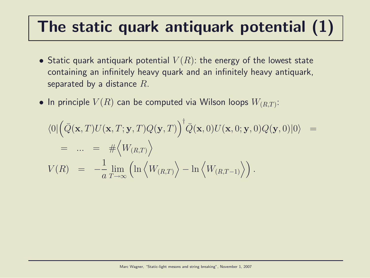## The static quark antiquark potential (1)

- Static quark antiquark potential  $V(R)$ : the energy of the lowest state containing an infinitely heavy quark and an infinitely heavy antiquark, separated by a distance  $R$ .
- $\bullet$  In principle  $V(R)$  can be computed via Wilson loops  $W_{(R,T)}$ :

$$
\langle 0 | \left( \bar{Q}(\mathbf{x}, T) U(\mathbf{x}, T; \mathbf{y}, T) Q(\mathbf{y}, T) \right)^{\dagger} \bar{Q}(\mathbf{x}, 0) U(\mathbf{x}, 0; \mathbf{y}, 0) Q(\mathbf{y}, 0) | 0 \rangle =
$$
  
\n
$$
= ... = # \langle W_{(R,T)} \rangle
$$
  
\n
$$
V(R) = -\frac{1}{a} \lim_{T \to \infty} \left( \ln \langle W_{(R,T)} \rangle - \ln \langle W_{(R,T-1)} \rangle \right).
$$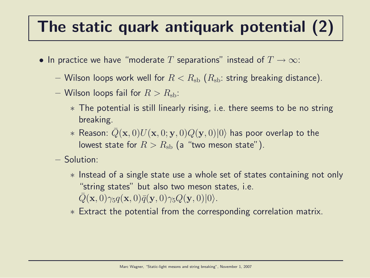## The static quark antiquark potential (2)

- In practice we have "moderate T separations" instead of  $T \to \infty$ :
	- Wilson loops work well for  $R < R_{\rm sb}$  ( $R_{\rm sb}$ : string breaking distance).
	- Wilson loops fail for  $R > R_{\rm sh}$ :
		- ∗ The potential is still linearly rising, i.e. there seems to be no string breaking.
		- \* Reason:  $Q(\mathbf{x}, 0)U(\mathbf{x}, 0; \mathbf{y}, 0)Q(\mathbf{y}, 0)|0\rangle$  has poor overlap to the lowest state for  $R > R_{\rm sh}$  (a "two meson state").
	- Solution:
		- ∗ Instead of a single state use a whole set of states containing not only "string states" but also two meson states, i.e.  $\overline{Q}(\mathbf{x}, 0)\gamma_5q(\mathbf{x}, 0)\overline{q}(\mathbf{y}, 0)\gamma_5Q(\mathbf{y}, 0)|0\rangle.$
		- ∗ Extract the potential from the corresponding correlation matrix.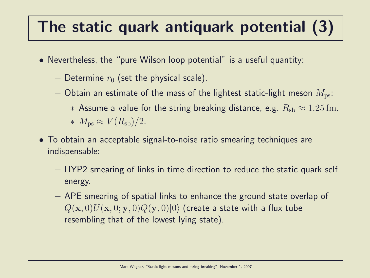# The static quark antiquark potential (3)

- Nevertheless, the "pure Wilson loop potential" is a useful quantity:
	- Determine  $r_0$  (set the physical scale).
	- Obtain an estimate of the mass of the lightest static-light meson  $M_{\text{ps}}$ :
		- ∗ Assume a value for the string breaking distance, e.g.  $R_{\rm sh} \approx 1.25$  fm.  $∗ M_{\text{ps}} ≈ V(R_{\text{sb}})/2.$
- To obtain an acceptable signal-to-noise ratio smearing techniques are indispensable:
	- HYP2 smearing of links in time direction to reduce the static quark self energy.
	- APE smearing of spatial links to enhance the ground state overlap of  $Q(\mathbf{x},0)U(\mathbf{x},0;\mathbf{y},0)Q(\mathbf{y},0)|0\rangle$  (create a state with a flux tube resembling that of the lowest lying state).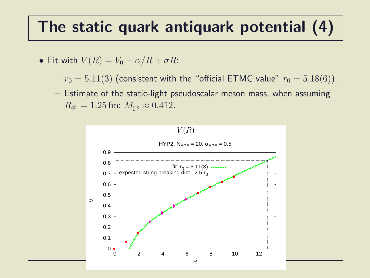#### The static quark antiquark potential (4)

• Fit with 
$$
V(R) = V_0 - \alpha/R + \sigma R
$$
:

- $r_0 = 5.11(3)$  (consistent with the "official ETMC value"  $r_0 = 5.18(6)$ ).
- Estimate of the static-light pseudoscalar meson mass, when assuming  $R_{\rm sb} = 1.25$  fm:  $M_{\rm ps} \approx 0.412$ .

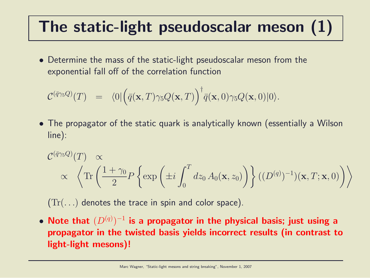## The static-light pseudoscalar meson (1)

• Determine the mass of the static-light pseudoscalar meson from the exponential fall off of the correlation function

$$
\mathcal{C}^{(\bar{q}\gamma_5 Q)}(T) = \langle 0|\Big(\bar{q}(\mathbf{x},T)\gamma_5 Q(\mathbf{x},T)\Big)^{\dagger}\bar{q}(\mathbf{x},0)\gamma_5 Q(\mathbf{x},0)|0\rangle.
$$

• The propagator of the static quark is analytically known (essentially a Wilson line):

$$
\mathcal{C}^{(\bar{q}\gamma_5 Q)}(T) \propto \n\left\langle \text{Tr}\left(\frac{1+\gamma_0}{2} P\left\{\exp\left(\pm i \int_0^T dz_0 A_0(\mathbf{x}, z_0)\right)\right\} ((D^{(q)})^{-1})(\mathbf{x}, T; \mathbf{x}, 0)\right)\right\rangle
$$

 $(Tr(\ldots))$  denotes the trace in spin and color space).

 $\bullet$  Note that  $(D^{(q)})^{-1}$  is a propagator in the physical basis; just using a propagator in the twisted basis yields incorrect results (in contrast to light-light mesons)!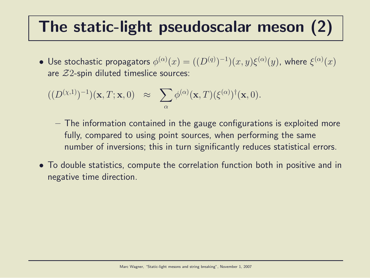### The static-light pseudoscalar meson (2)

 $\bullet\,$  Use stochastic propagators  $\phi^{(\alpha)}(x)=((D^{(q)})^{-1})(x,y)\xi^{(\alpha)}(y)$ , where  $\xi^{(\alpha)}(x)$ are  $Z2$ -spin diluted timeslice sources:

$$
((D^{(\chi,1)})^{-1})(\mathbf{x},T;\mathbf{x},0) \approx \sum_{\alpha} \phi^{(\alpha)}(\mathbf{x},T)(\xi^{(\alpha)})^{\dagger}(\mathbf{x},0).
$$

- The information contained in the gauge configurations is exploited more fully, compared to using point sources, when performing the same number of inversions; this in turn significantly reduces statistical errors.
- To double statistics, compute the correlation function both in positive and in negative time direction.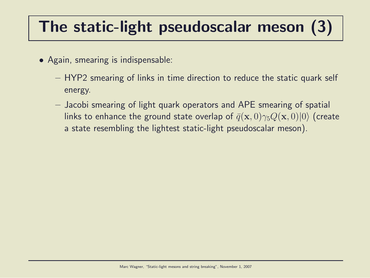## The static-light pseudoscalar meson (3)

- Again, smearing is indispensable:
	- HYP2 smearing of links in time direction to reduce the static quark self energy.
	- Jacobi smearing of light quark operators and APE smearing of spatial links to enhance the ground state overlap of  $\bar{q}(\mathbf{x},0)\gamma_5Q(\mathbf{x},0)|0\rangle$  (create a state resembling the lightest static-light pseudoscalar meson).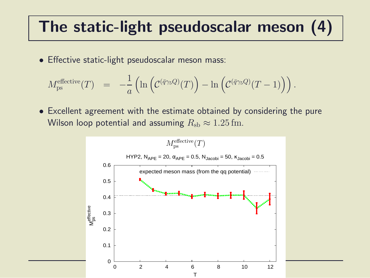### The static-light pseudoscalar meson (4)

• Effective static-light pseudoscalar meson mass:

$$
M_{\text{ps}}^{\text{effective}}(T) = -\frac{1}{a} \left( \ln \left( \mathcal{C}^{(\bar{q}\gamma_5 Q)}(T) \right) - \ln \left( \mathcal{C}^{(\bar{q}\gamma_5 Q)}(T-1) \right) \right).
$$

• Excellent agreement with the estimate obtained by considering the pure Wilson loop potential and assuming  $R_{sb} \approx 1.25$  fm.

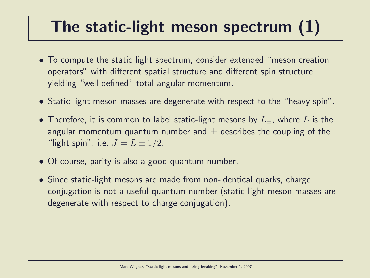### The static-light meson spectrum (1)

- To compute the static light spectrum, consider extended "meson creation operators" with different spatial structure and different spin structure, yielding "well defined" total angular momentum.
- Static-light meson masses are degenerate with respect to the "heavy spin".
- Therefore, it is common to label static-light mesons by  $L_{+}$ , where L is the angular momentum quantum number and  $\pm$  describes the coupling of the "light spin", i.e.  $J = L \pm 1/2$ .
- Of course, parity is also a good quantum number.
- Since static-light mesons are made from non-identical quarks, charge conjugation is not a useful quantum number (static-light meson masses are degenerate with respect to charge conjugation).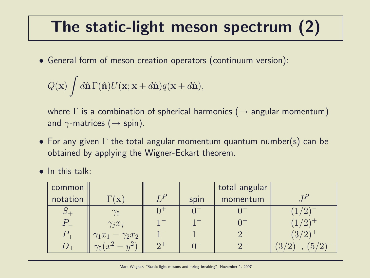## The static-light meson spectrum (2)

• General form of meson creation operators (continuum version):

$$
\bar{Q}(\mathbf{x}) \int d\hat{\mathbf{n}} \Gamma(\hat{\mathbf{n}}) U(\mathbf{x}; \mathbf{x} + d\hat{\mathbf{n}}) q(\mathbf{x} + d\hat{\mathbf{n}}),
$$

where  $\Gamma$  is a combination of spherical harmonics ( $\rightarrow$  angular momentum) and  $\gamma$ -matrices ( $\rightarrow$  spin).

- For any given  $\Gamma$  the total angular momentum quantum number(s) can be obtained by applying the Wigner-Eckart theorem.
- In this talk:

| common   |                               |       |      | total angular |       |
|----------|-------------------------------|-------|------|---------------|-------|
| notation | $\mathbf{\overline{X}}$       | $I^P$ | spin | momentum      |       |
| $\cup$ - | $\gamma_5$                    |       |      |               |       |
| $P_{-}$  | $\gamma_i x_i$                |       |      |               |       |
| $P_{+}$  | $\gamma_1 x_1 - \gamma_2 x_2$ |       |      | $2^{+}$       | (3/2) |
|          | $\sqrt{3}(x^2 - x)$<br>$u^2$  |       |      |               | Ğ     |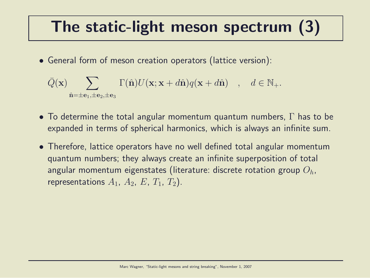### The static-light meson spectrum (3)

• General form of meson creation operators (lattice version):

$$
\bar{Q}(\mathbf{x}) \sum_{\hat{\mathbf{n}}=\pm \mathbf{e}_1, \pm \mathbf{e}_2, \pm \mathbf{e}_3} \Gamma(\hat{\mathbf{n}}) U(\mathbf{x}; \mathbf{x} + d\hat{\mathbf{n}}) q(\mathbf{x} + d\hat{\mathbf{n}}) , \quad d \in \mathbb{N}_+.
$$

- To determine the total angular momentum quantum numbers,  $\Gamma$  has to be expanded in terms of spherical harmonics, which is always an infinite sum.
- Therefore, lattice operators have no well defined total angular momentum quantum numbers; they always create an infinite superposition of total angular momentum eigenstates (literature: discrete rotation group  $O<sub>h</sub>$ , representations  $A_1$ ,  $A_2$ ,  $E$ ,  $T_1$ ,  $T_2$ ).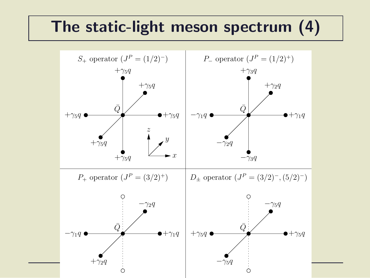#### The static-light meson spectrum (4)

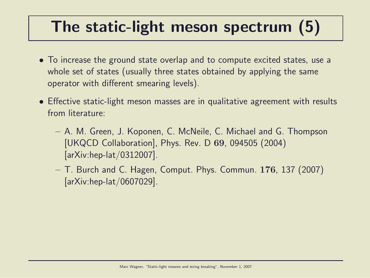### The static-light meson spectrum (5)

- To increase the ground state overlap and to compute excited states, use a whole set of states (usually three states obtained by applying the same operator with different smearing levels).
- Effective static-light meson masses are in qualitative agreement with results from literature:
	- A. M. Green, J. Koponen, C. McNeile, C. Michael and G. Thompson [UKQCD Collaboration], Phys. Rev. D 69, 094505 (2004) [arXiv:hep-lat/0312007].
	- $-$  T. Burch and C. Hagen, Comput. Phys. Commun. 176, 137 (2007) [arXiv:hep-lat/0607029].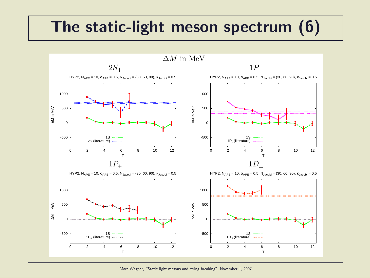#### The static-light meson spectrum (6)



Marc Wagner, "Static-light mesons and string breaking", November 1, 2007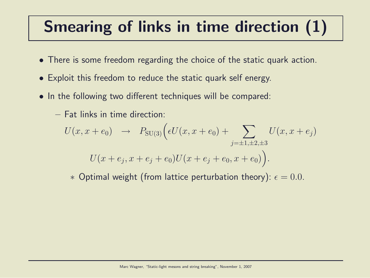## Smearing of links in time direction (1)

- There is some freedom regarding the choice of the static quark action.
- Exploit this freedom to reduce the static quark self energy.
- In the following two different techniques will be compared:
	- Fat links in time direction:

$$
U(x, x + e_0) \rightarrow P_{SU(3)}\Big(\epsilon U(x, x + e_0) + \sum_{j=\pm 1, \pm 2, \pm 3} U(x, x + e_j)
$$
  

$$
U(x + e_j, x + e_j + e_0)U(x + e_j + e_0, x + e_0)\Big).
$$

 $∗$  Optimal weight (from lattice perturbation theory):  $\epsilon = 0.0$ .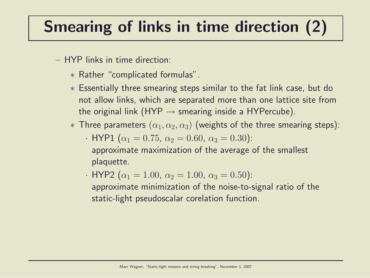# Smearing of links in time direction (2)

- HYP links in time direction:
	- ∗ Rather "complicated formulas".
	- ∗ Essentially three smearing steps similar to the fat link case, but do not allow links, which are separated more than one lattice site from the original link (HYP  $\rightarrow$  smearing inside a HYPercube).
	- $*$  Three parameters  $(\alpha_1, \alpha_2, \alpha_3)$  (weights of the three smearing steps):
		- · HYP1 ( $\alpha_1 = 0.75$ ,  $\alpha_2 = 0.60$ ,  $\alpha_3 = 0.30$ ): approximate maximization of the average of the smallest plaquette.
		- · HYP2 ( $\alpha_1 = 1.00$ ,  $\alpha_2 = 1.00$ ,  $\alpha_3 = 0.50$ ):
			- approximate minimization of the noise-to-signal ratio of the static-light pseudoscalar corelation function.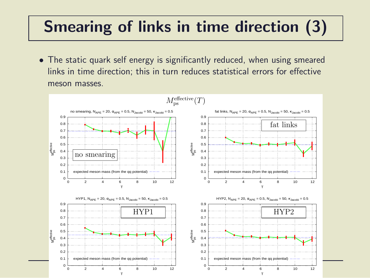## Smearing of links in time direction (3)

• The static quark self energy is significantly reduced, when using smeared links in time direction; this in turn reduces statistical errors for effective meson masses.

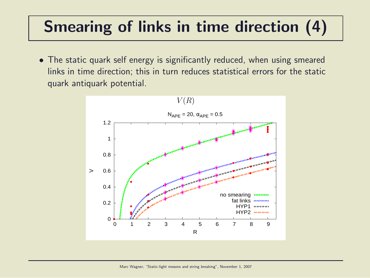## Smearing of links in time direction (4)

• The static quark self energy is significantly reduced, when using smeared links in time direction; this in turn reduces statistical errors for the static quark antiquark potential.

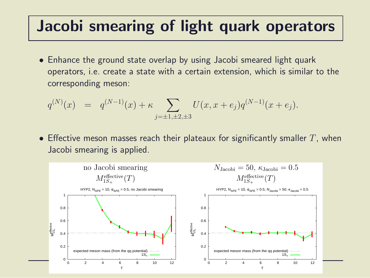#### Jacobi smearing of light quark operators

• Enhance the ground state overlap by using Jacobi smeared light quark operators, i.e. create a state with a certain extension, which is similar to the corresponding meson:

$$
q^{(N)}(x) = q^{(N-1)}(x) + \kappa \sum_{j=\pm 1, \pm 2, \pm 3} U(x, x + e_j) q^{(N-1)}(x + e_j).
$$

• Effective meson masses reach their plateaux for significantly smaller  $T$ , when Jacobi smearing is applied.

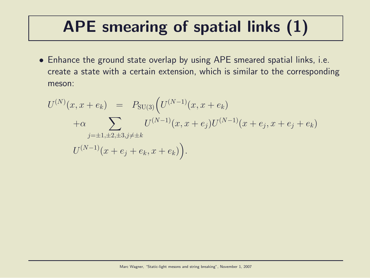## APE smearing of spatial links (1)

• Enhance the ground state overlap by using APE smeared spatial links, i.e. create a state with a certain extension, which is similar to the corresponding meson:

$$
U^{(N)}(x, x + e_k) = P_{SU(3)}(U^{(N-1)}(x, x + e_k)
$$
  
+ $\alpha \sum_{j=\pm 1, \pm 2, \pm 3, j \neq \pm k} U^{(N-1)}(x, x + e_j)U^{(N-1)}(x + e_j, x + e_j + e_k)$   

$$
U^{(N-1)}(x + e_j + e_k, x + e_k)).
$$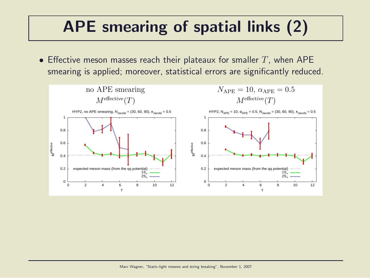## APE smearing of spatial links (2)

• Effective meson masses reach their plateaux for smaller  $T$ , when APE smearing is applied; moreover, statistical errors are significantly reduced.

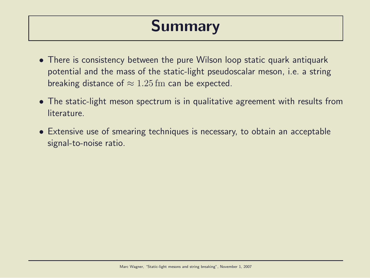#### Summary

- There is consistency between the pure Wilson loop static quark antiquark potential and the mass of the static-light pseudoscalar meson, i.e. a string breaking distance of  $\approx 1.25$  fm can be expected.
- The static-light meson spectrum is in qualitative agreement with results from **literature**
- Extensive use of smearing techniques is necessary, to obtain an acceptable signal-to-noise ratio.